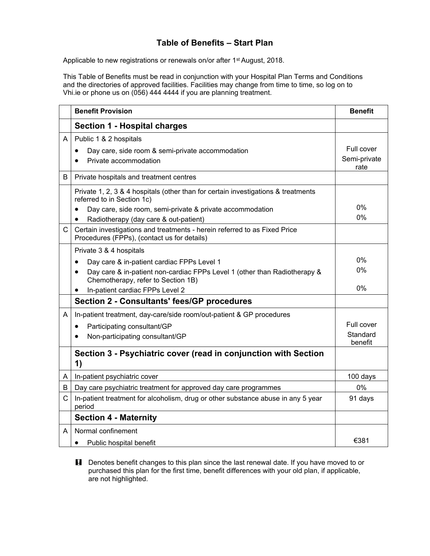## **Table of Benefits – Start Plan**

Applicable to new registrations or renewals on/or after 1<sup>st</sup> August, 2018.

This Table of Benefits must be read in conjunction with your Hospital Plan Terms and Conditions and the directories of approved facilities. Facilities may change from time to time, so log on to Vhi.ie or phone us on (056) 444 4444 if you are planning treatment.

|   | <b>Benefit Provision</b>                                                                                                     | <b>Benefit</b>                     |
|---|------------------------------------------------------------------------------------------------------------------------------|------------------------------------|
|   | <b>Section 1 - Hospital charges</b>                                                                                          |                                    |
| A | Public 1 & 2 hospitals<br>Day care, side room & semi-private accommodation<br>$\bullet$<br>Private accommodation<br>●        | Full cover<br>Semi-private<br>rate |
| B | Private hospitals and treatment centres                                                                                      |                                    |
|   | Private 1, 2, 3 & 4 hospitals (other than for certain investigations & treatments<br>referred to in Section 1c)              |                                    |
|   | Day care, side room, semi-private & private accommodation<br>$\bullet$<br>Radiotherapy (day care & out-patient)<br>$\bullet$ | 0%<br>$0\%$                        |
| C | Certain investigations and treatments - herein referred to as Fixed Price<br>Procedures (FPPs), (contact us for details)     |                                    |
|   | Private 3 & 4 hospitals                                                                                                      |                                    |
|   | Day care & in-patient cardiac FPPs Level 1<br>$\bullet$                                                                      | $0\%$                              |
|   | Day care & in-patient non-cardiac FPPs Level 1 (other than Radiotherapy &<br>$\bullet$<br>Chemotherapy, refer to Section 1B) | $0\%$                              |
|   | In-patient cardiac FPPs Level 2<br>٠                                                                                         | 0%                                 |
|   | <b>Section 2 - Consultants' fees/GP procedures</b>                                                                           |                                    |
| A | In-patient treatment, day-care/side room/out-patient & GP procedures                                                         |                                    |
|   | Participating consultant/GP<br>$\bullet$                                                                                     | Full cover                         |
|   | Non-participating consultant/GP                                                                                              | Standard<br>benefit                |
|   | Section 3 - Psychiatric cover (read in conjunction with Section<br>1)                                                        |                                    |
| A | In-patient psychiatric cover                                                                                                 | 100 days                           |
| B | Day care psychiatric treatment for approved day care programmes                                                              | $0\%$                              |
| C | In-patient treatment for alcoholism, drug or other substance abuse in any 5 year<br>period                                   | 91 days                            |
|   | <b>Section 4 - Maternity</b>                                                                                                 |                                    |
| A | Normal confinement                                                                                                           |                                    |
|   | Public hospital benefit<br>$\bullet$                                                                                         | €381                               |

**H** Denotes benefit changes to this plan since the last renewal date. If you have moved to or purchased this plan for the first time, benefit differences with your old plan, if applicable, are not highlighted.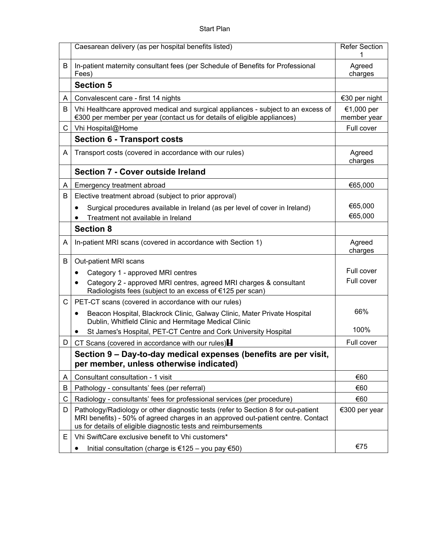|    | Caesarean delivery (as per hospital benefits listed)                                                                                                                                                                                    | <b>Refer Section</b>      |
|----|-----------------------------------------------------------------------------------------------------------------------------------------------------------------------------------------------------------------------------------------|---------------------------|
| В  | In-patient maternity consultant fees (per Schedule of Benefits for Professional<br>Fees)                                                                                                                                                | Agreed<br>charges         |
|    | <b>Section 5</b>                                                                                                                                                                                                                        |                           |
| A  | Convalescent care - first 14 nights                                                                                                                                                                                                     | €30 per night             |
| B  | Vhi Healthcare approved medical and surgical appliances - subject to an excess of<br>€300 per member per year (contact us for details of eligible appliances)                                                                           | €1,000 per<br>member year |
| C. | Vhi Hospital@Home                                                                                                                                                                                                                       | Full cover                |
|    | <b>Section 6 - Transport costs</b>                                                                                                                                                                                                      |                           |
| A  | Transport costs (covered in accordance with our rules)                                                                                                                                                                                  | Agreed<br>charges         |
|    | Section 7 - Cover outside Ireland                                                                                                                                                                                                       |                           |
| A  | Emergency treatment abroad                                                                                                                                                                                                              | €65,000                   |
| B  | Elective treatment abroad (subject to prior approval)                                                                                                                                                                                   |                           |
|    | Surgical procedures available in Ireland (as per level of cover in Ireland)                                                                                                                                                             | €65,000                   |
|    | Treatment not available in Ireland                                                                                                                                                                                                      | €65,000                   |
|    | <b>Section 8</b>                                                                                                                                                                                                                        |                           |
| A  | In-patient MRI scans (covered in accordance with Section 1)                                                                                                                                                                             | Agreed<br>charges         |
| B  | Out-patient MRI scans                                                                                                                                                                                                                   |                           |
|    | Category 1 - approved MRI centres<br>$\bullet$                                                                                                                                                                                          | Full cover                |
|    | Category 2 - approved MRI centres, agreed MRI charges & consultant<br>Radiologists fees (subject to an excess of €125 per scan)                                                                                                         | Full cover                |
| C  | PET-CT scans (covered in accordance with our rules)                                                                                                                                                                                     |                           |
|    | Beacon Hospital, Blackrock Clinic, Galway Clinic, Mater Private Hospital<br>٠<br>Dublin, Whitfield Clinic and Hermitage Medical Clinic                                                                                                  | 66%                       |
|    | St James's Hospital, PET-CT Centre and Cork University Hospital                                                                                                                                                                         | 100%                      |
| D  | CT Scans (covered in accordance with our rules)                                                                                                                                                                                         | Full cover                |
|    | Section 9 - Day-to-day medical expenses (benefits are per visit,<br>per member, unless otherwise indicated)                                                                                                                             |                           |
| A  | Consultant consultation - 1 visit                                                                                                                                                                                                       | €60                       |
| В  | Pathology - consultants' fees (per referral)                                                                                                                                                                                            | €60                       |
| C  | Radiology - consultants' fees for professional services (per procedure)                                                                                                                                                                 | €60                       |
| D  | Pathology/Radiology or other diagnostic tests (refer to Section 8 for out-patient<br>MRI benefits) - 50% of agreed charges in an approved out-patient centre. Contact<br>us for details of eligible diagnostic tests and reimbursements | €300 per year             |
| Е  | Vhi SwiftCare exclusive benefit to Vhi customers*                                                                                                                                                                                       |                           |
|    | Initial consultation (charge is €125 – you pay €50)<br>$\bullet$                                                                                                                                                                        | €75                       |